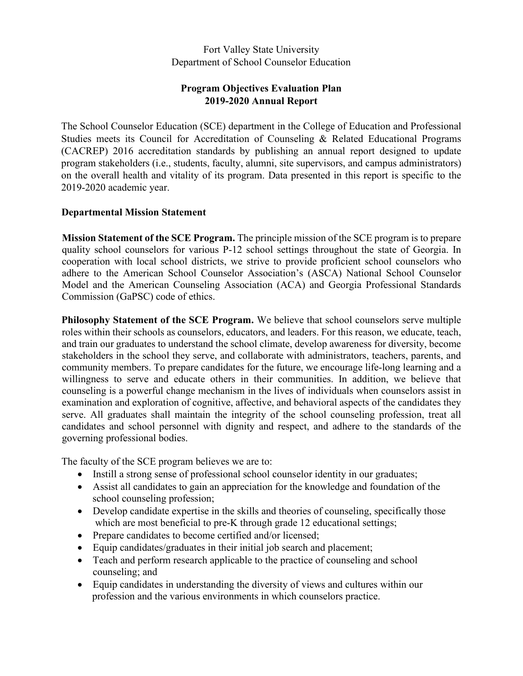## Fort Valley State University Department of School Counselor Education

# **Program Objectives Evaluation Plan 2019-2020 Annual Report**

The School Counselor Education (SCE) department in the College of Education and Professional Studies meets its Council for Accreditation of Counseling & Related Educational Programs (CACREP) 2016 accreditation standards by publishing an annual report designed to update program stakeholders (i.e., students, faculty, alumni, site supervisors, and campus administrators) on the overall health and vitality of its program. Data presented in this report is specific to the 2019-2020 academic year.

### **Departmental Mission Statement**

**Mission Statement of the SCE Program.** The principle mission of the SCE program is to prepare quality school counselors for various P-12 school settings throughout the state of Georgia. In cooperation with local school districts, we strive to provide proficient school counselors who adhere to the American School Counselor Association's (ASCA) National School Counselor Model and the American Counseling Association (ACA) and Georgia Professional Standards Commission (GaPSC) code of ethics.

**Philosophy Statement of the SCE Program.** We believe that school counselors serve multiple roles within their schools as counselors, educators, and leaders. For this reason, we educate, teach, and train our graduates to understand the school climate, develop awareness for diversity, become stakeholders in the school they serve, and collaborate with administrators, teachers, parents, and community members. To prepare candidates for the future, we encourage life-long learning and a willingness to serve and educate others in their communities. In addition, we believe that counseling is a powerful change mechanism in the lives of individuals when counselors assist in examination and exploration of cognitive, affective, and behavioral aspects of the candidates they serve. All graduates shall maintain the integrity of the school counseling profession, treat all candidates and school personnel with dignity and respect, and adhere to the standards of the governing professional bodies.

The faculty of the SCE program believes we are to:

- Instill a strong sense of professional school counselor identity in our graduates;
- Assist all candidates to gain an appreciation for the knowledge and foundation of the school counseling profession;
- Develop candidate expertise in the skills and theories of counseling, specifically those which are most beneficial to pre-K through grade 12 educational settings;
- Prepare candidates to become certified and/or licensed;
- Equip candidates/graduates in their initial job search and placement;
- Teach and perform research applicable to the practice of counseling and school counseling; and
- Equip candidates in understanding the diversity of views and cultures within our profession and the various environments in which counselors practice.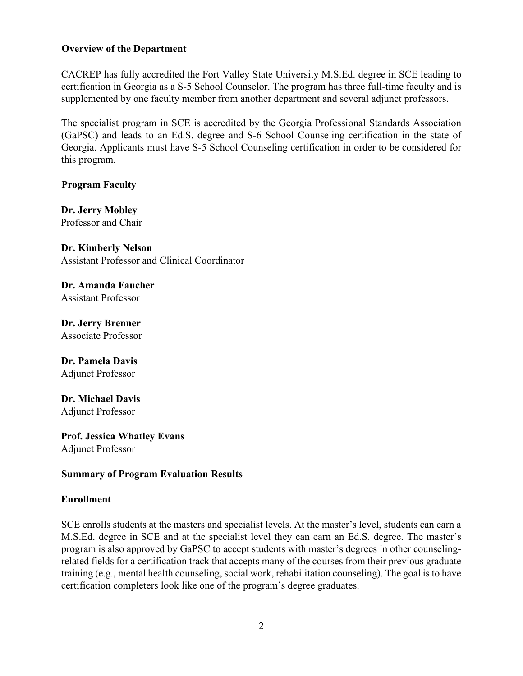### **Overview of the Department**

CACREP has fully accredited the Fort Valley State University M.S.Ed. degree in SCE leading to certification in Georgia as a S-5 School Counselor. The program has three full-time faculty and is supplemented by one faculty member from another department and several adjunct professors.

The specialist program in SCE is accredited by the Georgia Professional Standards Association (GaPSC) and leads to an Ed.S. degree and S-6 School Counseling certification in the state of Georgia. Applicants must have S-5 School Counseling certification in order to be considered for this program.

**Program Faculty** 

**Dr. Jerry Mobley** Professor and Chair

**Dr. Kimberly Nelson** Assistant Professor and Clinical Coordinator

**Dr. Amanda Faucher** Assistant Professor

**Dr. Jerry Brenner** Associate Professor

**Dr. Pamela Davis** Adjunct Professor

**Dr. Michael Davis** Adjunct Professor

**Prof. Jessica Whatley Evans** Adjunct Professor

## **Summary of Program Evaluation Results**

### **Enrollment**

SCE enrolls students at the masters and specialist levels. At the master's level, students can earn a M.S.Ed. degree in SCE and at the specialist level they can earn an Ed.S. degree. The master's program is also approved by GaPSC to accept students with master's degrees in other counselingrelated fields for a certification track that accepts many of the courses from their previous graduate training (e.g., mental health counseling, social work, rehabilitation counseling). The goal is to have certification completers look like one of the program's degree graduates.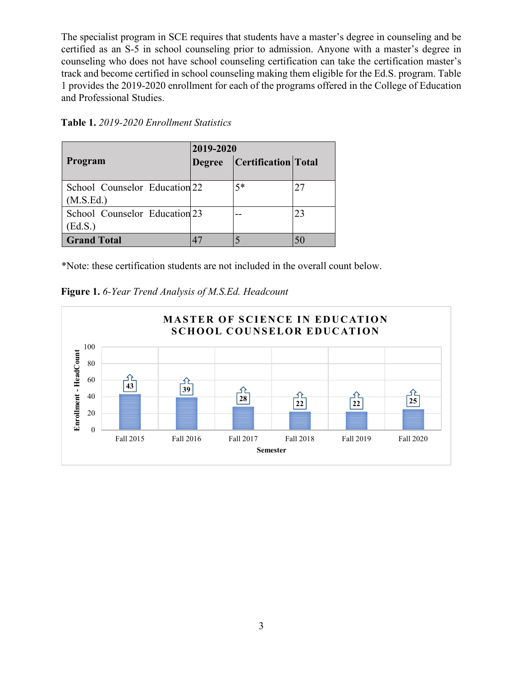The specialist program in SCE requires that students have a master's degree in counseling and be certified as an S-5 in school counseling prior to admission. Anyone with a master's degree in counseling who does not have school counseling certification can take the certification master's track and become certified in school counseling making them eligible for the Ed.S. program. Table 1 provides the 2019-2020 enrollment for each of the programs offered in the College of Education and Professional Studies.

|                                            | 2019-2020     |                     |    |  |
|--------------------------------------------|---------------|---------------------|----|--|
| Program                                    | <b>Degree</b> | Certification Total |    |  |
| School Counselor Education 22<br>(M.S.Ed.) |               | $5*$                | 27 |  |
| School Counselor Education 23<br>(Ed.S.)   |               |                     | 23 |  |
| <b>Grand Total</b>                         |               |                     |    |  |

\*Note: these certification students are not included in the overall count below.



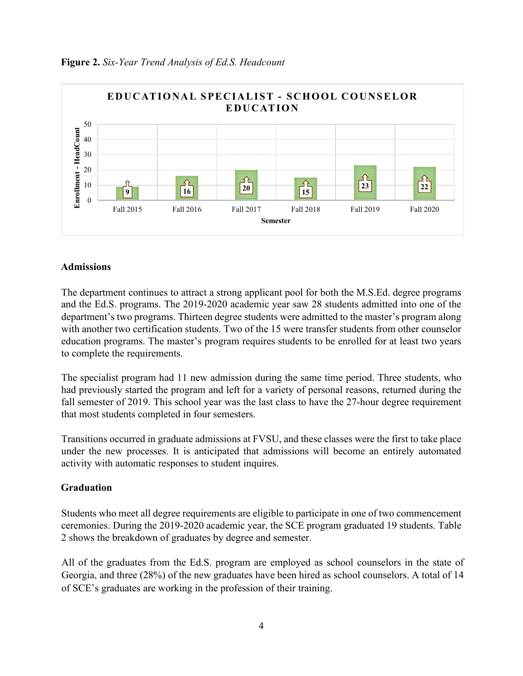

#### **Figure 2.** *Six-Year Trend Analysis of Ed.S. Headcount*

#### **Admissions**

The department continues to attract a strong applicant pool for both the M.S.Ed. degree programs and the Ed.S. programs. The 2019-2020 academic year saw 28 students admitted into one of the department's two programs. Thirteen degree students were admitted to the master's program along with another two certification students. Two of the 15 were transfer students from other counselor education programs. The master's program requires students to be enrolled for at least two years to complete the requirements.

The specialist program had 11 new admission during the same time period. Three students, who had previously started the program and left for a variety of personal reasons, returned during the fall semester of 2019. This school year was the last class to have the 27-hour degree requirement that most students completed in four semesters.

Transitions occurred in graduate admissions at FVSU, and these classes were the first to take place under the new processes. It is anticipated that admissions will become an entirely automated activity with automatic responses to student inquires.

#### **Graduation**

Students who meet all degree requirements are eligible to participate in one of two commencement ceremonies. During the 2019-2020 academic year, the SCE program graduated 19 students. Table 2 shows the breakdown of graduates by degree and semester.

All of the graduates from the Ed.S. program are employed as school counselors in the state of Georgia, and three (28%) of the new graduates have been hired as school counselors. A total of 14 of SCE's graduates are working in the profession of their training.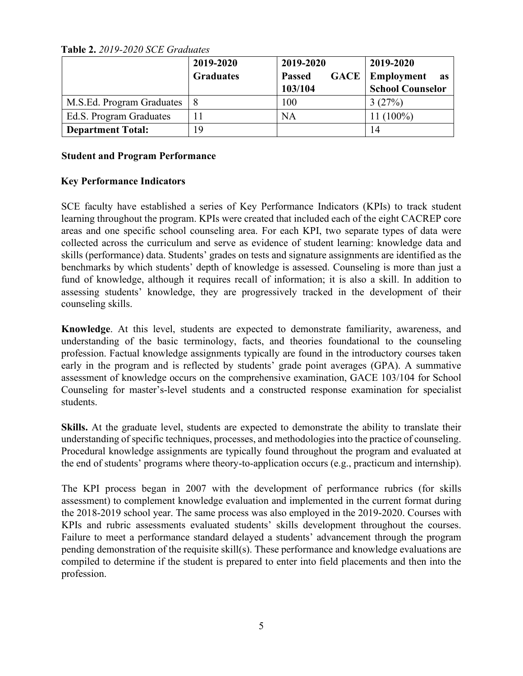**Table 2.** *2019-2020 SCE Graduates* 

|                           | 2019-2020<br><b>Graduates</b> | 2019-2020<br><b>GACE</b><br><b>Passed</b><br>103/104 | 2019-2020<br>Employment<br>as<br><b>School Counselor</b> |
|---------------------------|-------------------------------|------------------------------------------------------|----------------------------------------------------------|
| M.S.Ed. Program Graduates | 8                             | 100                                                  | 3(27%)                                                   |
| Ed.S. Program Graduates   |                               | <b>NA</b>                                            | 11 (100%)                                                |
| <b>Department Total:</b>  | 19                            |                                                      | 14                                                       |

### **Student and Program Performance**

## **Key Performance Indicators**

SCE faculty have established a series of Key Performance Indicators (KPIs) to track student learning throughout the program. KPIs were created that included each of the eight CACREP core areas and one specific school counseling area. For each KPI, two separate types of data were collected across the curriculum and serve as evidence of student learning: knowledge data and skills (performance) data. Students' grades on tests and signature assignments are identified as the benchmarks by which students' depth of knowledge is assessed. Counseling is more than just a fund of knowledge, although it requires recall of information; it is also a skill. In addition to assessing students' knowledge, they are progressively tracked in the development of their counseling skills.

**Knowledge**. At this level, students are expected to demonstrate familiarity, awareness, and understanding of the basic terminology, facts, and theories foundational to the counseling profession. Factual knowledge assignments typically are found in the introductory courses taken early in the program and is reflected by students' grade point averages (GPA). A summative assessment of knowledge occurs on the comprehensive examination, GACE 103/104 for School Counseling for master's-level students and a constructed response examination for specialist students.

**Skills.** At the graduate level, students are expected to demonstrate the ability to translate their understanding of specific techniques, processes, and methodologies into the practice of counseling. Procedural knowledge assignments are typically found throughout the program and evaluated at the end of students' programs where theory-to-application occurs (e.g., practicum and internship).

The KPI process began in 2007 with the development of performance rubrics (for skills assessment) to complement knowledge evaluation and implemented in the current format during the 2018-2019 school year. The same process was also employed in the 2019-2020. Courses with KPIs and rubric assessments evaluated students' skills development throughout the courses. Failure to meet a performance standard delayed a students' advancement through the program pending demonstration of the requisite skill(s). These performance and knowledge evaluations are compiled to determine if the student is prepared to enter into field placements and then into the profession.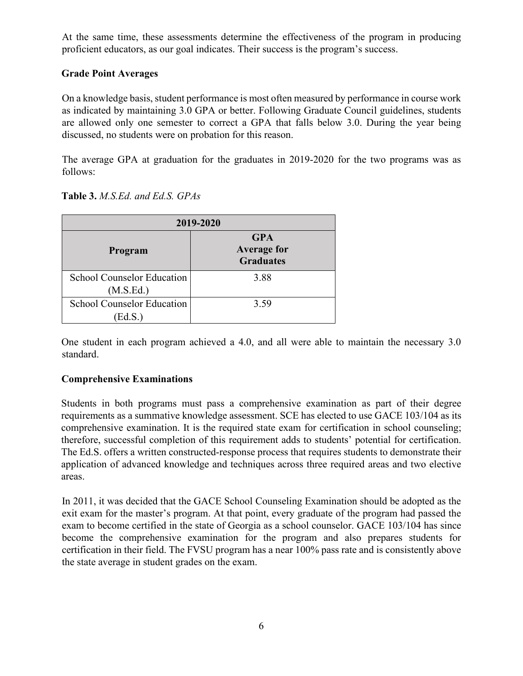At the same time, these assessments determine the effectiveness of the program in producing proficient educators, as our goal indicates. Their success is the program's success.

## **Grade Point Averages**

On a knowledge basis, student performance is most often measured by performance in course work as indicated by maintaining 3.0 GPA or better. Following Graduate Council guidelines, students are allowed only one semester to correct a GPA that falls below 3.0. During the year being discussed, no students were on probation for this reason.

The average GPA at graduation for the graduates in 2019-2020 for the two programs was as follows:

|                                                | 2019-2020                                            |  |  |  |  |
|------------------------------------------------|------------------------------------------------------|--|--|--|--|
| Program                                        | <b>GPA</b><br><b>Average for</b><br><b>Graduates</b> |  |  |  |  |
| <b>School Counselor Education</b><br>(M.S.Ed.) | 3.88                                                 |  |  |  |  |
| <b>School Counselor Education</b><br>Ed.S.)    | 3.59                                                 |  |  |  |  |

### **Table 3.** *M.S.Ed. and Ed.S. GPAs*

One student in each program achieved a 4.0, and all were able to maintain the necessary 3.0 standard.

## **Comprehensive Examinations**

Students in both programs must pass a comprehensive examination as part of their degree requirements as a summative knowledge assessment. SCE has elected to use GACE 103/104 as its comprehensive examination. It is the required state exam for certification in school counseling; therefore, successful completion of this requirement adds to students' potential for certification. The Ed.S. offers a written constructed-response process that requires students to demonstrate their application of advanced knowledge and techniques across three required areas and two elective areas.

In 2011, it was decided that the GACE School Counseling Examination should be adopted as the exit exam for the master's program. At that point, every graduate of the program had passed the exam to become certified in the state of Georgia as a school counselor. GACE 103/104 has since become the comprehensive examination for the program and also prepares students for certification in their field. The FVSU program has a near 100% pass rate and is consistently above the state average in student grades on the exam.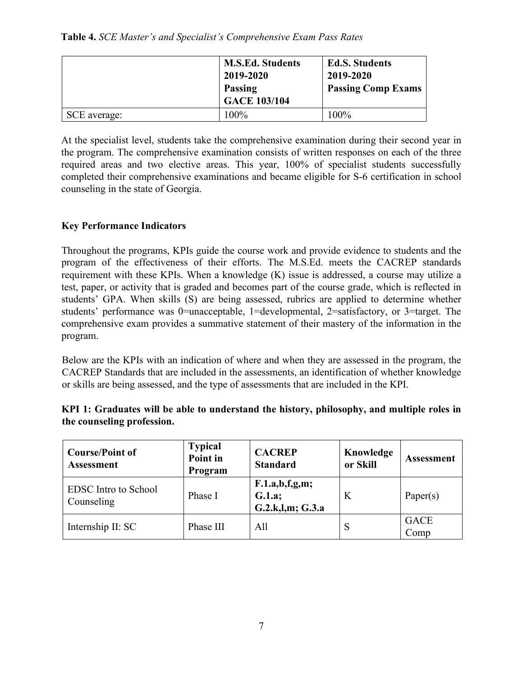**Table 4.** *SCE Master's and Specialist's Comprehensive Exam Pass Rates* 

|              | <b>M.S.Ed. Students</b><br>2019-2020<br><b>Passing</b><br><b>GACE 103/104</b> | <b>Ed.S. Students</b><br>2019-2020<br><b>Passing Comp Exams</b> |
|--------------|-------------------------------------------------------------------------------|-----------------------------------------------------------------|
| SCE average: | 100%                                                                          | $100\%$                                                         |

At the specialist level, students take the comprehensive examination during their second year in the program. The comprehensive examination consists of written responses on each of the three required areas and two elective areas. This year, 100% of specialist students successfully completed their comprehensive examinations and became eligible for S-6 certification in school counseling in the state of Georgia.

# **Key Performance Indicators**

Throughout the programs, KPIs guide the course work and provide evidence to students and the program of the effectiveness of their efforts. The M.S.Ed. meets the CACREP standards requirement with these KPIs. When a knowledge (K) issue is addressed, a course may utilize a test, paper, or activity that is graded and becomes part of the course grade, which is reflected in students' GPA. When skills (S) are being assessed, rubrics are applied to determine whether students' performance was 0=unacceptable, 1=developmental, 2=satisfactory, or 3=target. The comprehensive exam provides a summative statement of their mastery of the information in the program.

Below are the KPIs with an indication of where and when they are assessed in the program, the CACREP Standards that are included in the assessments, an identification of whether knowledge or skills are being assessed, and the type of assessments that are included in the KPI.

| <b>Course/Point of</b><br>Assessment      | <b>Typical</b><br>Point in<br>Program | <b>CACREP</b><br><b>Standard</b>             | Knowledge<br>or Skill | <b>Assessment</b>   |
|-------------------------------------------|---------------------------------------|----------------------------------------------|-----------------------|---------------------|
| <b>EDSC</b> Intro to School<br>Counseling | Phase I                               | F.1.a,b,f,g,m;<br>G.1.a;<br>G.2.k,l,m; G.3.a | K                     | Paper $(s)$         |
| Internship II: SC                         | Phase III                             | All                                          | O                     | <b>GACE</b><br>Comp |

## **KPI 1: Graduates will be able to understand the history, philosophy, and multiple roles in the counseling profession.**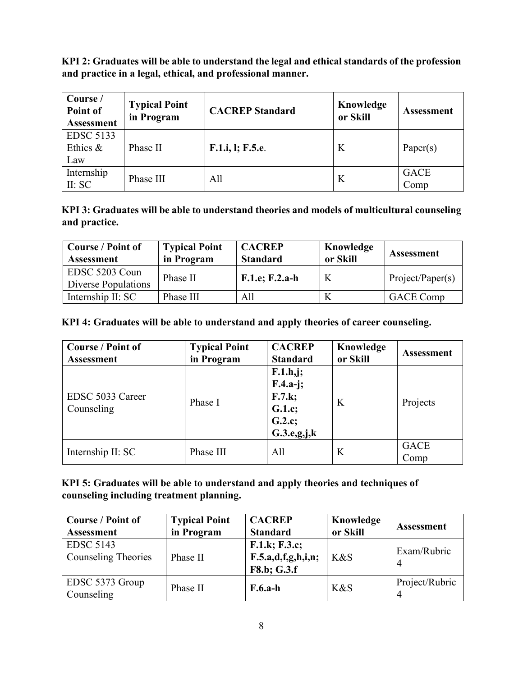**KPI 2: Graduates will be able to understand the legal and ethical standards of the profession and practice in a legal, ethical, and professional manner.**

| Course /<br>Point of<br><b>Assessment</b> | <b>Typical Point</b><br>in Program | <b>CACREP</b> Standard | Knowledge<br>or Skill | <b>Assessment</b>   |
|-------------------------------------------|------------------------------------|------------------------|-----------------------|---------------------|
| <b>EDSC 5133</b><br>Ethics &<br>Law       | Phase II                           | F.1.i, l; F.5.e.       | K                     | Paper $(s)$         |
| Internship<br>II: SC                      | Phase III                          | All                    | K                     | <b>GACE</b><br>Comp |

**KPI 3: Graduates will be able to understand theories and models of multicultural counseling and practice.**

| <b>Course / Point of</b><br><b>Assessment</b> | <b>Typical Point</b><br>in Program | <b>CACREP</b><br><b>Standard</b> | Knowledge<br>or Skill | <b>Assessment</b> |
|-----------------------------------------------|------------------------------------|----------------------------------|-----------------------|-------------------|
| EDSC 5203 Coun<br>Diverse Populations         | Phase II                           | $F.1.e; F.2.a-h$                 | K                     | Project/Paper(s)  |
| Internship II: SC                             | Phase III                          | All                              |                       | <b>GACE Comp</b>  |

# **KPI 4: Graduates will be able to understand and apply theories of career counseling.**

| <b>Course / Point of</b><br><b>Assessment</b> | <b>Typical Point</b><br>in Program | <b>CACREP</b><br><b>Standard</b>                                       | Knowledge<br>or Skill | <b>Assessment</b>   |
|-----------------------------------------------|------------------------------------|------------------------------------------------------------------------|-----------------------|---------------------|
| EDSC 5033 Career<br>Counseling                | Phase I                            | F.1.h,j;<br>$F.4.a-j;$<br>F.7.k;<br>G.1.c;<br>G.2.c;<br>$G.3.e.g.$ j,k | K                     | Projects            |
| Internship II: SC                             | Phase III                          | All                                                                    | K                     | <b>GACE</b><br>Comp |

## **KPI 5: Graduates will be able to understand and apply theories and techniques of counseling including treatment planning.**

| <b>Course / Point of</b><br><b>Assessment</b>  | <b>Typical Point</b><br>in Program | <b>CACREP</b><br><b>Standard</b>                   | Knowledge<br>or Skill | <b>Assessment</b>   |
|------------------------------------------------|------------------------------------|----------------------------------------------------|-----------------------|---------------------|
| <b>EDSC 5143</b><br><b>Counseling Theories</b> | Phase II                           | F.1.k; F.3.c;<br>F.5.a,d,f,g,h,i,n;<br>F8.b; G.3.f | K&S                   | Exam/Rubric<br>4    |
| EDSC 5373 Group<br>Counseling                  | Phase II                           | $F.6.a-h$                                          | K&S                   | Project/Rubric<br>4 |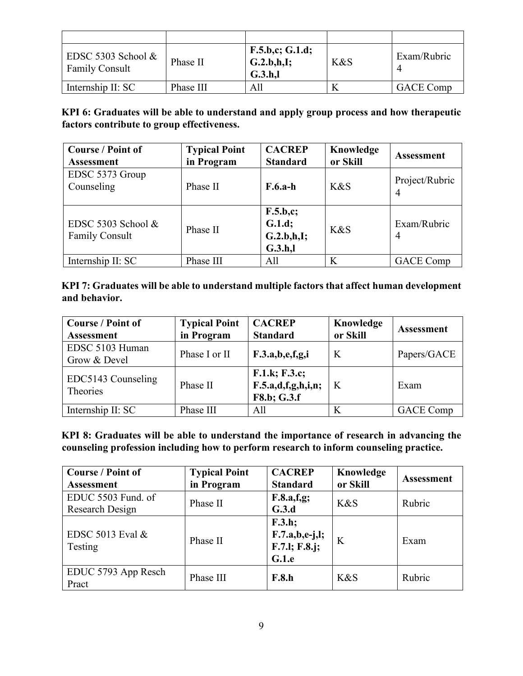| EDSC 5303 School $&$<br><b>Family Consult</b> | Phase II  | F.5.b.c; G.1.d;<br>G.2.b.h.I;<br>G.3.h. | K&S | Exam/Rubric      |
|-----------------------------------------------|-----------|-----------------------------------------|-----|------------------|
| Internship II: SC                             | Phase III | All                                     |     | <b>GACE Comp</b> |

**KPI 6: Graduates will be able to understand and apply group process and how therapeutic factors contribute to group effectiveness.**

| <b>Course / Point of</b><br><b>Assessment</b> | <b>Typical Point</b><br>in Program | <b>CACREP</b><br><b>Standard</b>           | Knowledge<br>or Skill | <b>Assessment</b>                |
|-----------------------------------------------|------------------------------------|--------------------------------------------|-----------------------|----------------------------------|
| EDSC 5373 Group<br>Counseling                 | Phase II                           | $F.6.a-h$                                  | K&S                   | Project/Rubric<br>$\overline{4}$ |
| EDSC 5303 School &<br><b>Family Consult</b>   | Phase II                           | F.5.b.c;<br>G.1.d;<br>G.2.b.h.I;<br>G.3.h. | K&S                   | Exam/Rubric<br>$\overline{4}$    |
| Internship II: SC                             | Phase III                          | All                                        | K                     | <b>GACE</b> Comp                 |

# **KPI 7: Graduates will be able to understand multiple factors that affect human development and behavior.**

| <b>Course / Point of</b><br><b>Assessment</b> | <b>Typical Point</b><br>in Program | <b>CACREP</b><br><b>Standard</b>                   | Knowledge<br>or Skill | <b>Assessment</b> |
|-----------------------------------------------|------------------------------------|----------------------------------------------------|-----------------------|-------------------|
| EDSC 5103 Human<br>Grow & Devel               | Phase I or II                      | F.3.a,b,e,f,g,i                                    | K                     | Papers/GACE       |
| EDC5143 Counseling<br>Theories                | Phase II                           | F.1.k; F.3.c;<br>F.5.a,d,f,g,h,i,n;<br>F8.b; G.3.f | K                     | Exam              |
| Internship II: SC                             | Phase III                          | All                                                |                       | <b>GACE Comp</b>  |

**KPI 8: Graduates will be able to understand the importance of research in advancing the counseling profession including how to perform research to inform counseling practice.**

| <b>Course / Point of</b><br><b>Assessment</b> | <b>Typical Point</b><br>in Program | <b>CACREP</b><br><b>Standard</b>                     | Knowledge<br>or Skill | <b>Assessment</b> |
|-----------------------------------------------|------------------------------------|------------------------------------------------------|-----------------------|-------------------|
| EDUC 5503 Fund. of<br>Research Design         | Phase II                           | F.8.a.f.g;<br>G.3.d                                  | K&S                   | Rubric            |
| EDSC 5013 Eval $&$<br>Testing                 | Phase II                           | F.3.h;<br>$F.7.a,b,e-j,l;$<br>F.7.l; F.8.j;<br>G.1.e | K                     | Exam              |
| EDUC 5793 App Resch<br>Pract                  | Phase III                          | F.8.h                                                | K&S                   | Rubric            |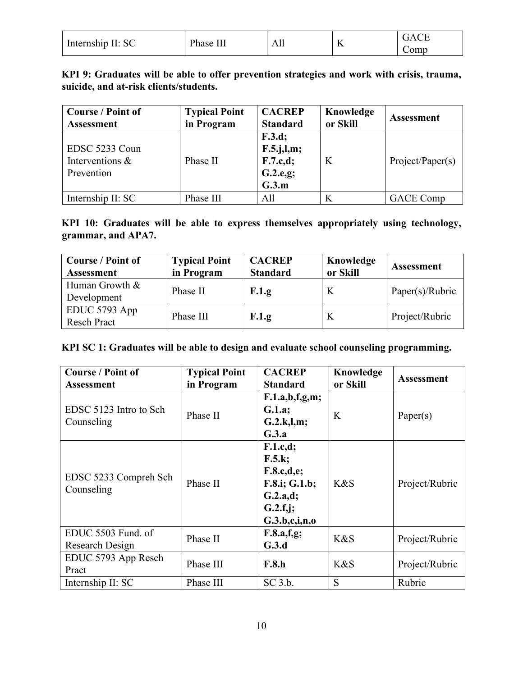| Internship II: SC | Phase. | л        | $\sim$ $\sim$ | ΉД                |
|-------------------|--------|----------|---------------|-------------------|
|                   | -111   | $\Gamma$ |               | $\mathcal{L}$ omb |

**KPI 9: Graduates will be able to offer prevention strategies and work with crisis, trauma, suicide, and at-risk clients/students.**

| <b>Course / Point of</b><br><b>Assessment</b>   | <b>Typical Point</b><br>in Program | <b>CACREP</b><br><b>Standard</b>                         | Knowledge<br>or Skill | <b>Assessment</b> |
|-------------------------------------------------|------------------------------------|----------------------------------------------------------|-----------------------|-------------------|
| EDSC 5233 Coun<br>Interventions &<br>Prevention | Phase II                           | F.3.d;<br>$F.5.$ j,l,m;<br>F.7.c.d;<br>G.2.e,g;<br>G.3.m | K                     | Project/Paper(s)  |
| Internship II: SC                               | Phase III                          | All                                                      | K                     | <b>GACE</b> Comp  |

**KPI 10: Graduates will be able to express themselves appropriately using technology, grammar, and APA7.**

| <b>Course / Point of</b><br><b>Assessment</b> | <b>Typical Point</b><br>in Program | <b>CACREP</b><br><b>Standard</b> | Knowledge<br>or Skill | <b>Assessment</b> |
|-----------------------------------------------|------------------------------------|----------------------------------|-----------------------|-------------------|
| Human Growth &<br>Development                 | Phase II                           | F.1.g                            | K                     | Paper(s)/Rubric   |
| EDUC 5793 App<br><b>Resch Pract</b>           | Phase III                          | F.1.g                            | K                     | Project/Rubric    |

| KPI SC 1: Graduates will be able to design and evaluate school counseling programming. |  |  |  |
|----------------------------------------------------------------------------------------|--|--|--|
|                                                                                        |  |  |  |

| <b>Course / Point of</b><br>Assessment | <b>Typical Point</b><br>in Program | <b>CACREP</b><br><b>Standard</b>                                                           | Knowledge<br>or Skill | <b>Assessment</b> |
|----------------------------------------|------------------------------------|--------------------------------------------------------------------------------------------|-----------------------|-------------------|
| EDSC 5123 Intro to Sch<br>Counseling   | Phase II                           | F.1.a,b,f,g,m;<br>G.1.a;<br>G.2.k,l,m;<br>G.3.a                                            | K                     | Paper(s)          |
| EDSC 5233 Compreh Sch<br>Counseling    | Phase II                           | F.1.c.d;<br>F.5.k;<br>F.8.c,d,e;<br>F.8.i; G.1.b;<br>G.2.a.d;<br>G.2.f.j;<br>G.3.b,c,i,n,o | K&S                   | Project/Rubric    |
| EDUC 5503 Fund. of<br>Research Design  | Phase II                           | F.8.a.f.g;<br>G.3.d                                                                        | K&S                   | Project/Rubric    |
| EDUC 5793 App Resch<br>Pract           | Phase III                          | <b>F.8.h</b>                                                                               | K&S                   | Project/Rubric    |
| Internship II: SC                      | Phase III                          | $SC$ 3.b.                                                                                  | S                     | Rubric            |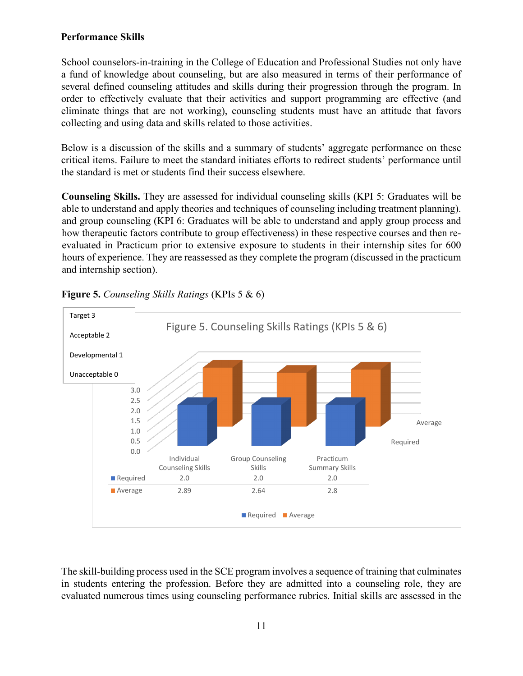## **Performance Skills**

School counselors-in-training in the College of Education and Professional Studies not only have a fund of knowledge about counseling, but are also measured in terms of their performance of several defined counseling attitudes and skills during their progression through the program. In order to effectively evaluate that their activities and support programming are effective (and eliminate things that are not working), counseling students must have an attitude that favors collecting and using data and skills related to those activities.

Below is a discussion of the skills and a summary of students' aggregate performance on these critical items. Failure to meet the standard initiates efforts to redirect students' performance until the standard is met or students find their success elsewhere.

**Counseling Skills.** They are assessed for individual counseling skills (KPI 5: Graduates will be able to understand and apply theories and techniques of counseling including treatment planning). and group counseling (KPI 6: Graduates will be able to understand and apply group process and how therapeutic factors contribute to group effectiveness) in these respective courses and then reevaluated in Practicum prior to extensive exposure to students in their internship sites for 600 hours of experience. They are reassessed as they complete the program (discussed in the practicum and internship section).



## **Figure 5.** *Counseling Skills Ratings* (KPIs 5 & 6)

The skill-building process used in the SCE program involves a sequence of training that culminates in students entering the profession. Before they are admitted into a counseling role, they are evaluated numerous times using counseling performance rubrics. Initial skills are assessed in the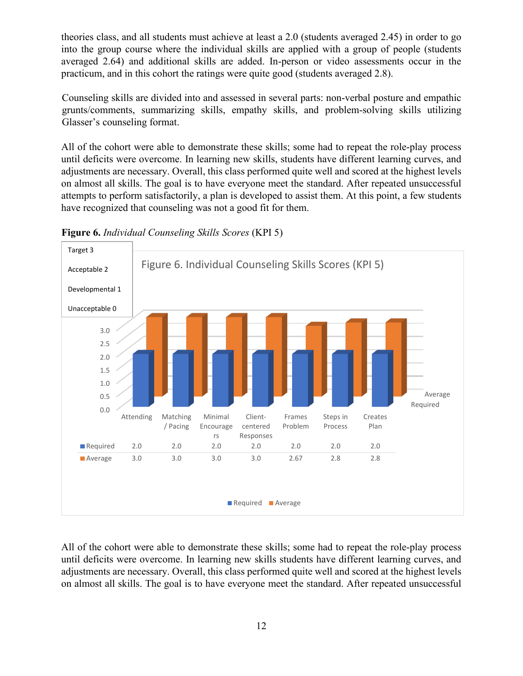theories class, and all students must achieve at least a 2.0 (students averaged 2.45) in order to go into the group course where the individual skills are applied with a group of people (students averaged 2.64) and additional skills are added. In-person or video assessments occur in the practicum, and in this cohort the ratings were quite good (students averaged 2.8).

Counseling skills are divided into and assessed in several parts: non-verbal posture and empathic grunts/comments, summarizing skills, empathy skills, and problem-solving skills utilizing Glasser's counseling format.

All of the cohort were able to demonstrate these skills; some had to repeat the role-play process until deficits were overcome. In learning new skills, students have different learning curves, and adjustments are necessary. Overall, this class performed quite well and scored at the highest levels on almost all skills. The goal is to have everyone meet the standard. After repeated unsuccessful attempts to perform satisfactorily, a plan is developed to assist them. At this point, a few students have recognized that counseling was not a good fit for them.



**Figure 6.** *Individual Counseling Skills Scores* (KPI 5)

All of the cohort were able to demonstrate these skills; some had to repeat the role-play process until deficits were overcome. In learning new skills students have different learning curves, and adjustments are necessary. Overall, this class performed quite well and scored at the highest levels on almost all skills. The goal is to have everyone meet the standard. After repeated unsuccessful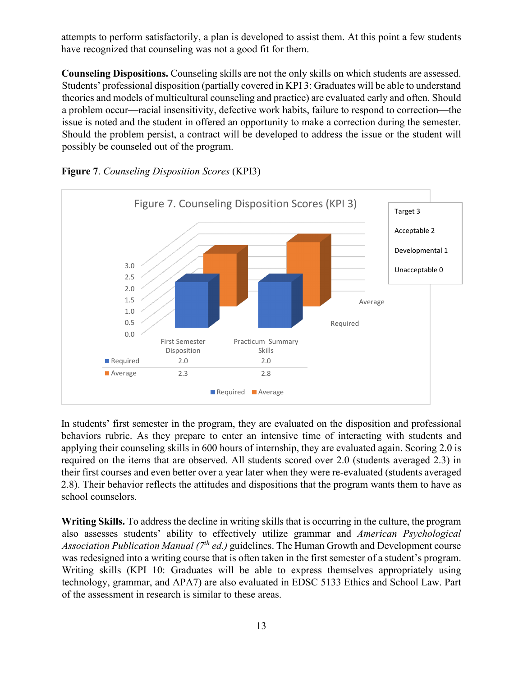attempts to perform satisfactorily, a plan is developed to assist them. At this point a few students have recognized that counseling was not a good fit for them.

**Counseling Dispositions.** Counseling skills are not the only skills on which students are assessed. Students' professional disposition (partially covered in KPI 3: Graduates will be able to understand theories and models of multicultural counseling and practice) are evaluated early and often. Should a problem occur—racial insensitivity, defective work habits, failure to respond to correction—the issue is noted and the student in offered an opportunity to make a correction during the semester. Should the problem persist, a contract will be developed to address the issue or the student will possibly be counseled out of the program.



**Figure 7**. *Counseling Disposition Scores* (KPI3)

In students' first semester in the program, they are evaluated on the disposition and professional behaviors rubric. As they prepare to enter an intensive time of interacting with students and applying their counseling skills in 600 hours of internship, they are evaluated again. Scoring 2.0 is required on the items that are observed. All students scored over 2.0 (students averaged 2.3) in their first courses and even better over a year later when they were re-evaluated (students averaged 2.8). Their behavior reflects the attitudes and dispositions that the program wants them to have as school counselors.

**Writing Skills.** To address the decline in writing skills that is occurring in the culture, the program also assesses students' ability to effectively utilize grammar and *American Psychological Association Publication Manual (7th ed.)* guidelines. The Human Growth and Development course was redesigned into a writing course that is often taken in the first semester of a student's program. Writing skills (KPI 10: Graduates will be able to express themselves appropriately using technology, grammar, and APA7) are also evaluated in EDSC 5133 Ethics and School Law. Part of the assessment in research is similar to these areas.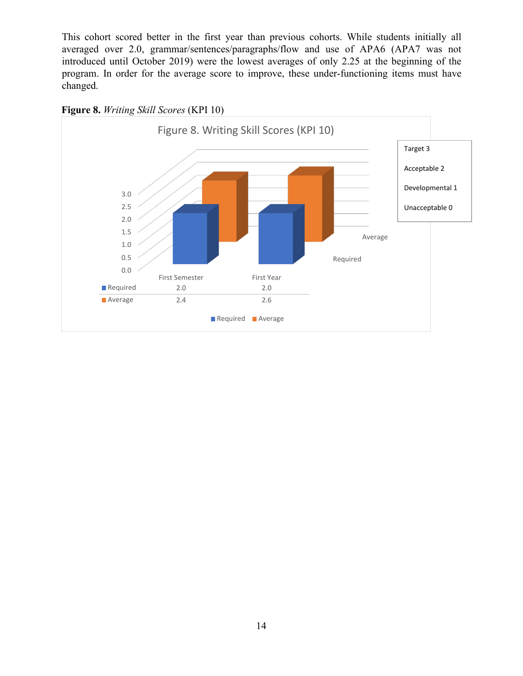This cohort scored better in the first year than previous cohorts. While students initially all averaged over 2.0, grammar/sentences/paragraphs/flow and use of APA6 (APA7 was not introduced until October 2019) were the lowest averages of only 2.25 at the beginning of the program. In order for the average score to improve, these under-functioning items must have changed.



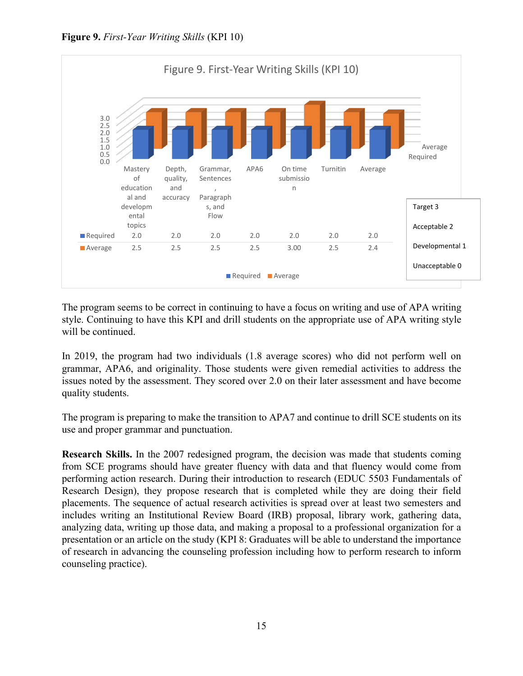



The program seems to be correct in continuing to have a focus on writing and use of APA writing style. Continuing to have this KPI and drill students on the appropriate use of APA writing style will be continued.

In 2019, the program had two individuals (1.8 average scores) who did not perform well on grammar, APA6, and originality. Those students were given remedial activities to address the issues noted by the assessment. They scored over 2.0 on their later assessment and have become quality students.

The program is preparing to make the transition to APA7 and continue to drill SCE students on its use and proper grammar and punctuation.

**Research Skills.** In the 2007 redesigned program, the decision was made that students coming from SCE programs should have greater fluency with data and that fluency would come from performing action research. During their introduction to research (EDUC 5503 Fundamentals of Research Design), they propose research that is completed while they are doing their field placements. The sequence of actual research activities is spread over at least two semesters and includes writing an Institutional Review Board (IRB) proposal, library work, gathering data, analyzing data, writing up those data, and making a proposal to a professional organization for a presentation or an article on the study (KPI 8: Graduates will be able to understand the importance of research in advancing the counseling profession including how to perform research to inform counseling practice).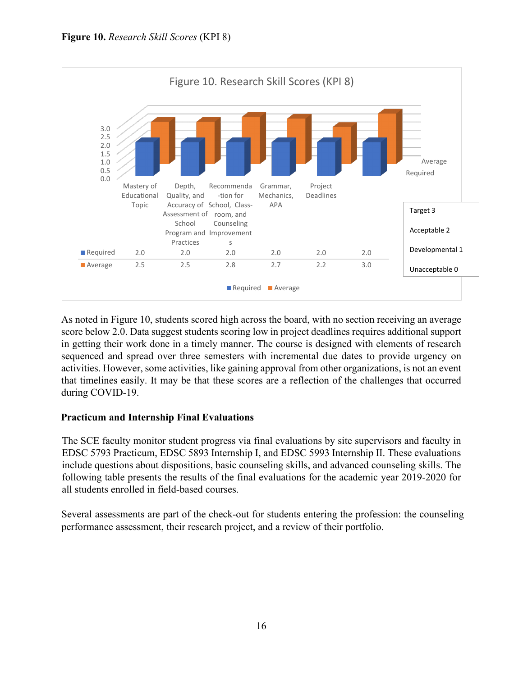

As noted in Figure 10, students scored high across the board, with no section receiving an average score below 2.0. Data suggest students scoring low in project deadlines requires additional support in getting their work done in a timely manner. The course is designed with elements of research sequenced and spread over three semesters with incremental due dates to provide urgency on activities. However, some activities, like gaining approval from other organizations, is not an event that timelines easily. It may be that these scores are a reflection of the challenges that occurred during COVID-19.

## **Practicum and Internship Final Evaluations**

The SCE faculty monitor student progress via final evaluations by site supervisors and faculty in EDSC 5793 Practicum, EDSC 5893 Internship I, and EDSC 5993 Internship II. These evaluations include questions about dispositions, basic counseling skills, and advanced counseling skills. The following table presents the results of the final evaluations for the academic year 2019-2020 for all students enrolled in field-based courses.

Several assessments are part of the check-out for students entering the profession: the counseling performance assessment, their research project, and a review of their portfolio.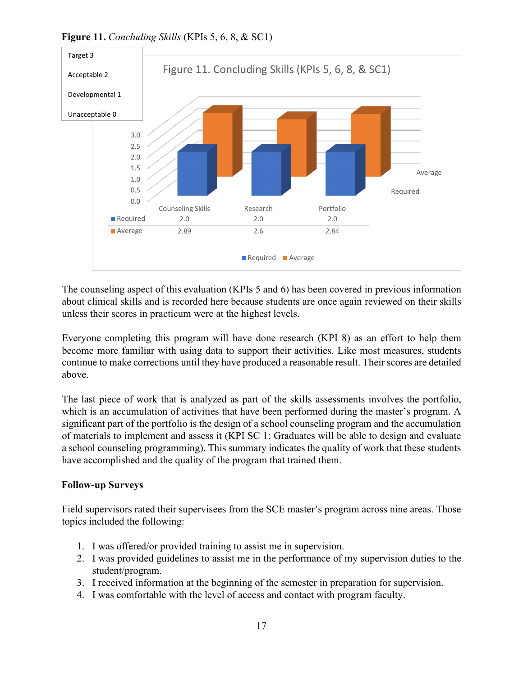Required Average 0.0 0.5 1.0 1.5 2.0 2.5 3.0 Counseling Skills **Research** Portfolio ■ Required 2.0 2.0 2.0 2.0 ■ Average 2.89 2.6 2.84 Figure 11. Concluding Skills (KPIs 5, 6, 8, & SC1) Required **Average** Target 3 Acceptable 2 Developmental 1 Unacceptable 0

**Figure 11.** *Concluding Skills* (KPIs 5, 6, 8, & SC1)

The counseling aspect of this evaluation (KPIs 5 and 6) has been covered in previous information about clinical skills and is recorded here because students are once again reviewed on their skills unless their scores in practicum were at the highest levels.

Everyone completing this program will have done research (KPI 8) as an effort to help them become more familiar with using data to support their activities. Like most measures, students continue to make corrections until they have produced a reasonable result. Their scores are detailed above.

The last piece of work that is analyzed as part of the skills assessments involves the portfolio, which is an accumulation of activities that have been performed during the master's program. A significant part of the portfolio is the design of a school counseling program and the accumulation of materials to implement and assess it (KPI SC 1: Graduates will be able to design and evaluate a school counseling programming). This summary indicates the quality of work that these students have accomplished and the quality of the program that trained them.

## **Follow-up Surveys**

Field supervisors rated their supervisees from the SCE master's program across nine areas. Those topics included the following:

- 1. I was offered/or provided training to assist me in supervision.
- 2. I was provided guidelines to assist me in the performance of my supervision duties to the student/program.
- 3. I received information at the beginning of the semester in preparation for supervision.
- 4. I was comfortable with the level of access and contact with program faculty.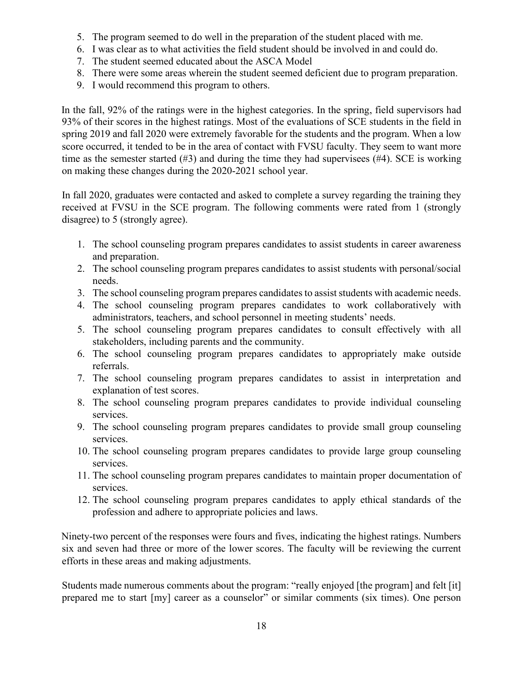- 5. The program seemed to do well in the preparation of the student placed with me.
- 6. I was clear as to what activities the field student should be involved in and could do.
- 7. The student seemed educated about the ASCA Model
- 8. There were some areas wherein the student seemed deficient due to program preparation.
- 9. I would recommend this program to others.

In the fall, 92% of the ratings were in the highest categories. In the spring, field supervisors had 93% of their scores in the highest ratings. Most of the evaluations of SCE students in the field in spring 2019 and fall 2020 were extremely favorable for the students and the program. When a low score occurred, it tended to be in the area of contact with FVSU faculty. They seem to want more time as the semester started (#3) and during the time they had supervisees (#4). SCE is working on making these changes during the 2020-2021 school year.

In fall 2020, graduates were contacted and asked to complete a survey regarding the training they received at FVSU in the SCE program. The following comments were rated from 1 (strongly disagree) to 5 (strongly agree).

- 1. The school counseling program prepares candidates to assist students in career awareness and preparation.
- 2. The school counseling program prepares candidates to assist students with personal/social needs.
- 3. The school counseling program prepares candidates to assist students with academic needs.
- 4. The school counseling program prepares candidates to work collaboratively with administrators, teachers, and school personnel in meeting students' needs.
- 5. The school counseling program prepares candidates to consult effectively with all stakeholders, including parents and the community.
- 6. The school counseling program prepares candidates to appropriately make outside referrals.
- 7. The school counseling program prepares candidates to assist in interpretation and explanation of test scores.
- 8. The school counseling program prepares candidates to provide individual counseling services.
- 9. The school counseling program prepares candidates to provide small group counseling services.
- 10. The school counseling program prepares candidates to provide large group counseling services.
- 11. The school counseling program prepares candidates to maintain proper documentation of services.
- 12. The school counseling program prepares candidates to apply ethical standards of the profession and adhere to appropriate policies and laws.

Ninety-two percent of the responses were fours and fives, indicating the highest ratings. Numbers six and seven had three or more of the lower scores. The faculty will be reviewing the current efforts in these areas and making adjustments.

Students made numerous comments about the program: "really enjoyed [the program] and felt [it] prepared me to start [my] career as a counselor" or similar comments (six times). One person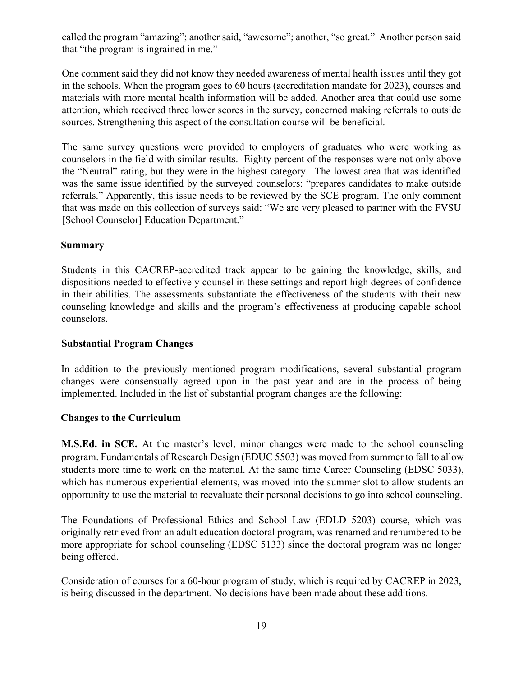called the program "amazing"; another said, "awesome"; another, "so great." Another person said that "the program is ingrained in me."

One comment said they did not know they needed awareness of mental health issues until they got in the schools. When the program goes to 60 hours (accreditation mandate for 2023), courses and materials with more mental health information will be added. Another area that could use some attention, which received three lower scores in the survey, concerned making referrals to outside sources. Strengthening this aspect of the consultation course will be beneficial.

The same survey questions were provided to employers of graduates who were working as counselors in the field with similar results. Eighty percent of the responses were not only above the "Neutral" rating, but they were in the highest category. The lowest area that was identified was the same issue identified by the surveyed counselors: "prepares candidates to make outside referrals." Apparently, this issue needs to be reviewed by the SCE program. The only comment that was made on this collection of surveys said: "We are very pleased to partner with the FVSU [School Counselor] Education Department."

### **Summary**

Students in this CACREP-accredited track appear to be gaining the knowledge, skills, and dispositions needed to effectively counsel in these settings and report high degrees of confidence in their abilities. The assessments substantiate the effectiveness of the students with their new counseling knowledge and skills and the program's effectiveness at producing capable school counselors.

### **Substantial Program Changes**

In addition to the previously mentioned program modifications, several substantial program changes were consensually agreed upon in the past year and are in the process of being implemented. Included in the list of substantial program changes are the following:

## **Changes to the Curriculum**

**M.S.Ed. in SCE.** At the master's level, minor changes were made to the school counseling program. Fundamentals of Research Design (EDUC 5503) was moved from summer to fall to allow students more time to work on the material. At the same time Career Counseling (EDSC 5033), which has numerous experiential elements, was moved into the summer slot to allow students an opportunity to use the material to reevaluate their personal decisions to go into school counseling.

The Foundations of Professional Ethics and School Law (EDLD 5203) course, which was originally retrieved from an adult education doctoral program, was renamed and renumbered to be more appropriate for school counseling (EDSC 5133) since the doctoral program was no longer being offered.

Consideration of courses for a 60-hour program of study, which is required by CACREP in 2023, is being discussed in the department. No decisions have been made about these additions.